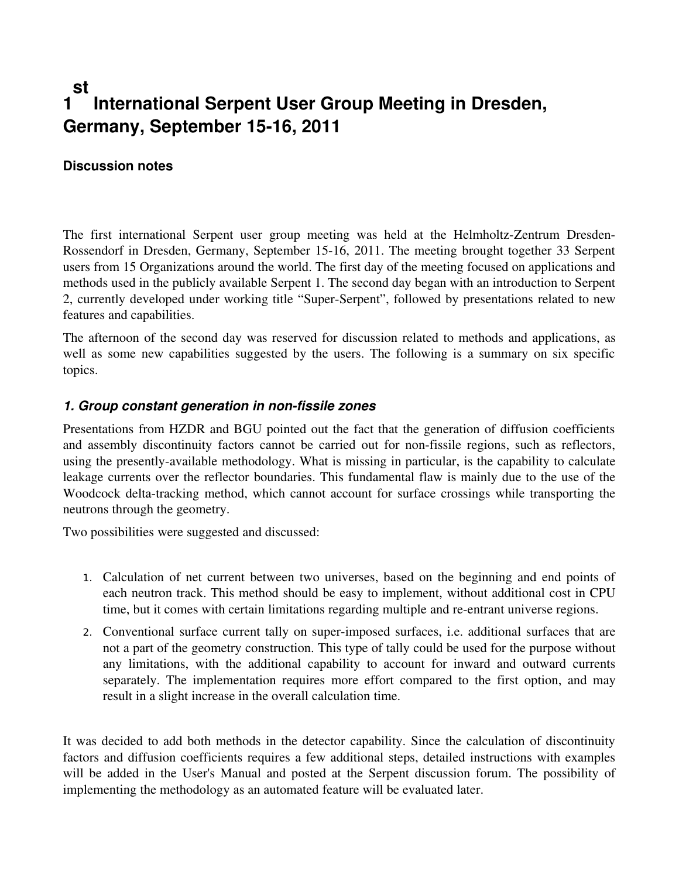#### **1 st International Serpent User Group Meeting in Dresden, Germany, September 1516, 2011**

### **Discussion notes**

The first international Serpent user group meeting was held at the Helmholtz-Zentrum Dresden-Rossendorf in Dresden, Germany, September 15-16, 2011. The meeting brought together 33 Serpent users from 15 Organizations around the world. The first day of the meeting focused on applications and methods used in the publicly available Serpent 1. The second day began with an introduction to Serpent 2, currently developed under working title "Super-Serpent", followed by presentations related to new features and capabilities.

The afternoon of the second day was reserved for discussion related to methods and applications, as well as some new capabilities suggested by the users. The following is a summary on six specific topics.

#### **1. Group constant generation in non-fissile zones**

Presentations from HZDR and BGU pointed out the fact that the generation of diffusion coefficients and assembly discontinuity factors cannot be carried out for non-fissile regions, such as reflectors, using the presently-available methodology. What is missing in particular, is the capability to calculate leakage currents over the reflector boundaries. This fundamental flaw is mainly due to the use of the Woodcock delta-tracking method, which cannot account for surface crossings while transporting the neutrons through the geometry.

Two possibilities were suggested and discussed:

- 1. Calculation of net current between two universes, based on the beginning and end points of each neutron track. This method should be easy to implement, without additional cost in CPU time, but it comes with certain limitations regarding multiple and re-entrant universe regions.
- 2. Conventional surface current tally on superimposed surfaces, i.e. additional surfaces that are not a part of the geometry construction. This type of tally could be used for the purpose without any limitations, with the additional capability to account for inward and outward currents separately. The implementation requires more effort compared to the first option, and may result in a slight increase in the overall calculation time.

It was decided to add both methods in the detector capability. Since the calculation of discontinuity factors and diffusion coefficients requires a few additional steps, detailed instructions with examples will be added in the User's Manual and posted at the Serpent discussion forum. The possibility of implementing the methodology as an automated feature will be evaluated later.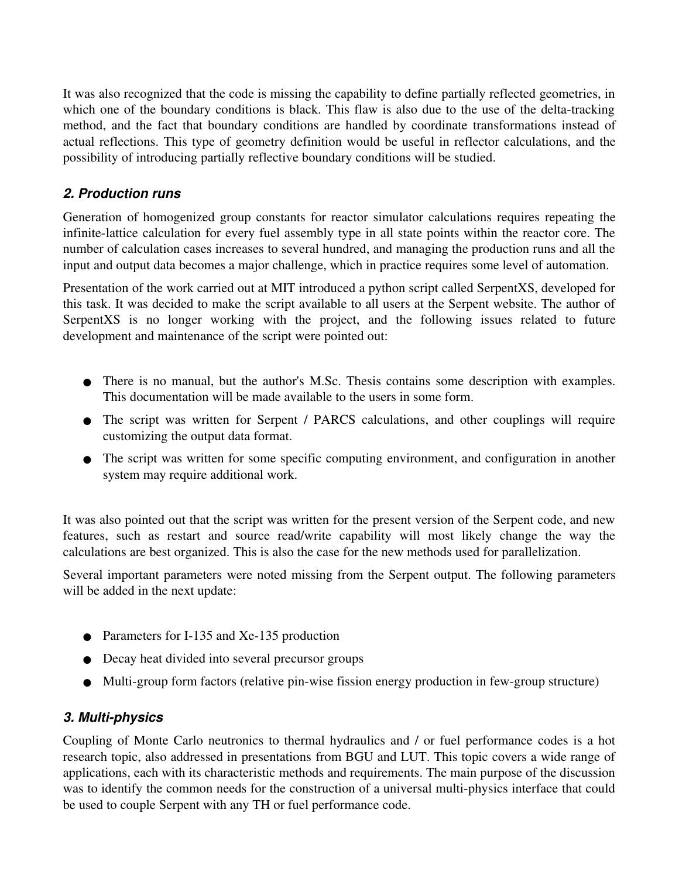It was also recognized that the code is missing the capability to define partially reflected geometries, in which one of the boundary conditions is black. This flaw is also due to the use of the delta-tracking method, and the fact that boundary conditions are handled by coordinate transformations instead of actual reflections. This type of geometry definition would be useful in reflector calculations, and the possibility of introducing partially reflective boundary conditions will be studied.

## *2. Production runs*

Generation of homogenized group constants for reactor simulator calculations requires repeating the infinite-lattice calculation for every fuel assembly type in all state points within the reactor core. The number of calculation cases increases to several hundred, and managing the production runs and all the input and output data becomes a major challenge, which in practice requires some level of automation.

Presentation of the work carried out at MIT introduced a python script called SerpentXS, developed for this task. It was decided to make the script available to all users at the Serpent website. The author of SerpentXS is no longer working with the project, and the following issues related to future development and maintenance of the script were pointed out:

- There is no manual, but the author's M.Sc. Thesis contains some description with examples. This documentation will be made available to the users in some form.
- The script was written for Serpent / PARCS calculations, and other couplings will require customizing the output data format.
- The script was written for some specific computing environment, and configuration in another system may require additional work.

It was also pointed out that the script was written for the present version of the Serpent code, and new features, such as restart and source read/write capability will most likely change the way the calculations are best organized. This is also the case for the new methods used for parallelization.

Several important parameters were noted missing from the Serpent output. The following parameters will be added in the next update:

- Parameters for I-135 and Xe-135 production
- Decay heat divided into several precursor groups
- Multi-group form factors (relative pin-wise fission energy production in few-group structure)

## 3. Multi-physics

Coupling of Monte Carlo neutronics to thermal hydraulics and / or fuel performance codes is a hot research topic, also addressed in presentations from BGU and LUT. This topic covers a wide range of applications, each with its characteristic methods and requirements. The main purpose of the discussion was to identify the common needs for the construction of a universal multi-physics interface that could be used to couple Serpent with any TH or fuel performance code.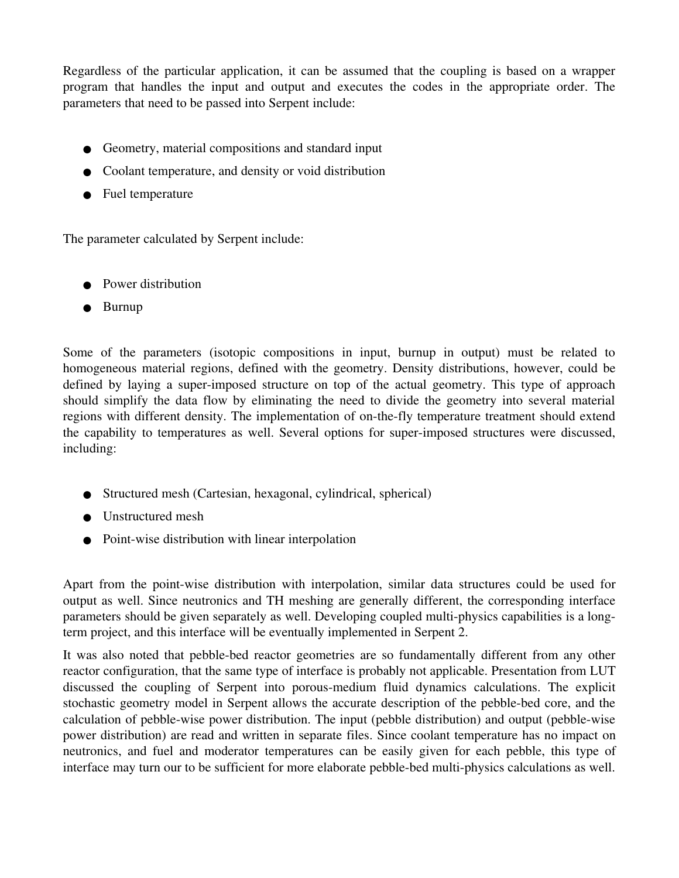Regardless of the particular application, it can be assumed that the coupling is based on a wrapper program that handles the input and output and executes the codes in the appropriate order. The parameters that need to be passed into Serpent include:

- Geometry, material compositions and standard input
- Coolant temperature, and density or void distribution
- Fuel temperature

The parameter calculated by Serpent include:

- Power distribution
- Burnup

Some of the parameters (isotopic compositions in input, burnup in output) must be related to homogeneous material regions, defined with the geometry. Density distributions, however, could be defined by laying a super-imposed structure on top of the actual geometry. This type of approach should simplify the data flow by eliminating the need to divide the geometry into several material regions with different density. The implementation of on-the-fly temperature treatment should extend the capability to temperatures as well. Several options for superimposed structures were discussed, including:

- Structured mesh (Cartesian, hexagonal, cylindrical, spherical)
- Unstructured mesh
- $\bullet$  Point-wise distribution with linear interpolation

Apart from the point-wise distribution with interpolation, similar data structures could be used for output as well. Since neutronics and TH meshing are generally different, the corresponding interface parameters should be given separately as well. Developing coupled multi-physics capabilities is a longterm project, and this interface will be eventually implemented in Serpent 2.

It was also noted that pebble-bed reactor geometries are so fundamentally different from any other reactor configuration, that the same type of interface is probably not applicable. Presentation from LUT discussed the coupling of Serpent into porous-medium fluid dynamics calculations. The explicit stochastic geometry model in Serpent allows the accurate description of the pebble-bed core, and the calculation of pebble-wise power distribution. The input (pebble distribution) and output (pebble-wise power distribution) are read and written in separate files. Since coolant temperature has no impact on neutronics, and fuel and moderator temperatures can be easily given for each pebble, this type of interface may turn our to be sufficient for more elaborate pebble-bed multi-physics calculations as well.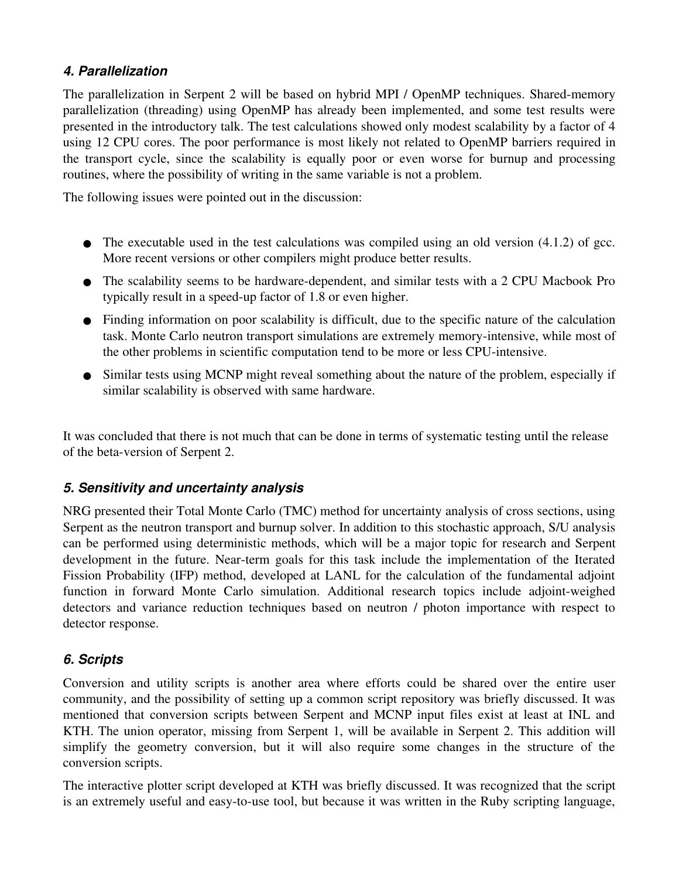## *4. Parallelization*

The parallelization in Serpent 2 will be based on hybrid MPI / OpenMP techniques. Shared-memory parallelization (threading) using OpenMP has already been implemented, and some test results were presented in the introductory talk. The test calculations showed only modest scalability by a factor of 4 using 12 CPU cores. The poor performance is most likely not related to OpenMP barriers required in the transport cycle, since the scalability is equally poor or even worse for burnup and processing routines, where the possibility of writing in the same variable is not a problem.

The following issues were pointed out in the discussion:

- $\bullet$  The executable used in the test calculations was compiled using an old version (4.1.2) of gcc. More recent versions or other compilers might produce better results.
- The scalability seems to be hardware-dependent, and similar tests with a 2 CPU Macbook Pro typically result in a speed-up factor of 1.8 or even higher.
- Finding information on poor scalability is difficult, due to the specific nature of the calculation task. Monte Carlo neutron transport simulations are extremely memory-intensive, while most of the other problems in scientific computation tend to be more or less CPU-intensive.
- Similar tests using MCNP might reveal something about the nature of the problem, especially if similar scalability is observed with same hardware.

It was concluded that there is not much that can be done in terms of systematic testing until the release of the beta-version of Serpent 2.

# *5. Sensitivity and uncertainty analysis*

NRG presented their Total Monte Carlo (TMC) method for uncertainty analysis of cross sections, using Serpent as the neutron transport and burnup solver. In addition to this stochastic approach, S/U analysis can be performed using deterministic methods, which will be a major topic for research and Serpent development in the future. Near-term goals for this task include the implementation of the Iterated Fission Probability (IFP) method, developed at LANL for the calculation of the fundamental adjoint function in forward Monte Carlo simulation. Additional research topics include adjoint-weighed detectors and variance reduction techniques based on neutron / photon importance with respect to detector response.

# *6. Scripts*

Conversion and utility scripts is another area where efforts could be shared over the entire user community, and the possibility of setting up a common script repository was briefly discussed. It was mentioned that conversion scripts between Serpent and MCNP input files exist at least at INL and KTH. The union operator, missing from Serpent 1, will be available in Serpent 2. This addition will simplify the geometry conversion, but it will also require some changes in the structure of the conversion scripts.

The interactive plotter script developed at KTH was briefly discussed. It was recognized that the script is an extremely useful and easy-to-use tool, but because it was written in the Ruby scripting language,